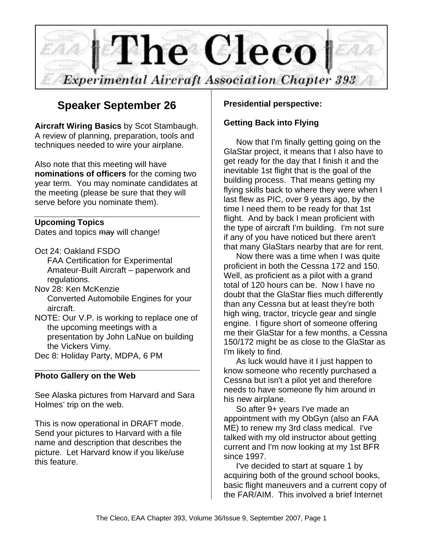

## **Speaker September 26**

**Aircraft Wiring Basics** by Scot Stambaugh. A review of planning, preparation, tools and techniques needed to wire your airplane.

Also note that this meeting will have **nominations of officers** for the coming two year term. You may nominate candidates at the meeting (please be sure that they will serve before you nominate them).

#### **Upcoming Topics**

Dates and topics may will change!

- Oct 24: Oakland FSDO FAA Certification for Experimental Amateur-Built Aircraft – paperwork and regulations.
- Nov 28: Ken McKenzie Converted Automobile Engines for your aircraft.
- NOTE: Our V.P. is working to replace one of the upcoming meetings with a presentation by John LaNue on building the Vickers Vimy.
- Dec 8: Holiday Party, MDPA, 6 PM

#### **Photo Gallery on the Web**

See Alaska pictures from Harvard and Sara Holmes' trip on the web.

This is now operational in DRAFT mode. Send your pictures to Harvard with a file name and description that describes the picture. Let Harvard know if you like/use this feature.

#### **Presidential perspective:**

#### **Getting Back into Flying**

Now that I'm finally getting going on the GlaStar project, it means that I also have to get ready for the day that I finish it and the inevitable 1st flight that is the goal of the building process. That means getting my flying skills back to where they were when I last flew as PIC, over 9 years ago, by the time I need them to be ready for that 1st flight. And by back I mean proficient with the type of aircraft I'm building. I'm not sure if any of you have noticed but there aren't that many GlaStars nearby that are for rent.

Now there was a time when I was quite proficient in both the Cessna 172 and 150. Well, as proficient as a pilot with a grand total of 120 hours can be. Now I have no doubt that the GlaStar flies much differently than any Cessna but at least they're both high wing, tractor, tricycle gear and single engine. I figure short of someone offering me their GlaStar for a few months, a Cessna 150/172 might be as close to the GlaStar as I'm likely to find.

As luck would have it I just happen to know someone who recently purchased a Cessna but isn't a pilot yet and therefore needs to have someone fly him around in his new airplane.

So after 9+ years I've made an appointment with my ObGyn (also an FAA ME) to renew my 3rd class medical. I've talked with my old instructor about getting current and I'm now looking at my 1st BFR since 1997.

I've decided to start at square 1 by acquiring both of the ground school books, basic flight maneuvers and a current copy of the FAR/AIM. This involved a brief Internet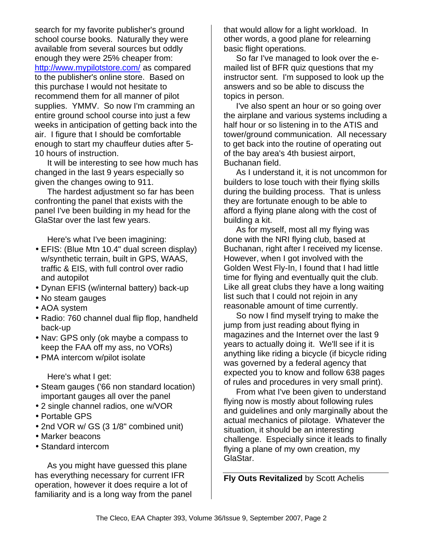search for my favorite publisher's ground school course books. Naturally they were available from several sources but oddly enough they were 25% cheaper from: http://www.mypilotstore.com/ as compared to the publisher's online store. Based on this purchase I would not hesitate to recommend them for all manner of pilot supplies. YMMV. So now I'm cramming an entire ground school course into just a few weeks in anticipation of getting back into the air. I figure that I should be comfortable enough to start my chauffeur duties after 5- 10 hours of instruction.

It will be interesting to see how much has changed in the last 9 years especially so given the changes owing to 911.

The hardest adjustment so far has been confronting the panel that exists with the panel I've been building in my head for the GlaStar over the last few years.

Here's what I've been imagining:

- EFIS: (Blue Mtn 10.4" dual screen display) w/synthetic terrain, built in GPS, WAAS, traffic & EIS, with full control over radio and autopilot
- Dynan EFIS (w/internal battery) back-up
- No steam gauges
- AOA system
- Radio: 760 channel dual flip flop, handheld back-up
- Nav: GPS only (ok maybe a compass to keep the FAA off my ass, no VORs)
- PMA intercom w/pilot isolate

Here's what I get:

- Steam gauges ('66 non standard location) important gauges all over the panel
- 2 single channel radios, one w/VOR
- Portable GPS
- 2nd VOR w/ GS (3 1/8" combined unit)
- Marker beacons
- Standard intercom

As you might have guessed this plane has everything necessary for current IFR operation, however it does require a lot of familiarity and is a long way from the panel that would allow for a light workload. In other words, a good plane for relearning basic flight operations.

So far I've managed to look over the emailed list of BFR quiz questions that my instructor sent. I'm supposed to look up the answers and so be able to discuss the topics in person.

I've also spent an hour or so going over the airplane and various systems including a half hour or so listening in to the ATIS and tower/ground communication. All necessary to get back into the routine of operating out of the bay area's 4th busiest airport, Buchanan field.

As I understand it, it is not uncommon for builders to lose touch with their flying skills during the building process. That is unless they are fortunate enough to be able to afford a flying plane along with the cost of building a kit.

As for myself, most all my flying was done with the NRI flying club, based at Buchanan, right after I received my license. However, when I got involved with the Golden West Fly-In, I found that I had little time for flying and eventually quit the club. Like all great clubs they have a long waiting list such that I could not rejoin in any reasonable amount of time currently.

So now I find myself trying to make the jump from just reading about flying in magazines and the Internet over the last 9 years to actually doing it. We'll see if it is anything like riding a bicycle (if bicycle riding was governed by a federal agency that expected you to know and follow 638 pages of rules and procedures in very small print).

From what I've been given to understand flying now is mostly about following rules and guidelines and only marginally about the actual mechanics of pilotage. Whatever the situation, it should be an interesting challenge. Especially since it leads to finally flying a plane of my own creation, my GlaStar.

**Fly Outs Revitalized** by Scott Achelis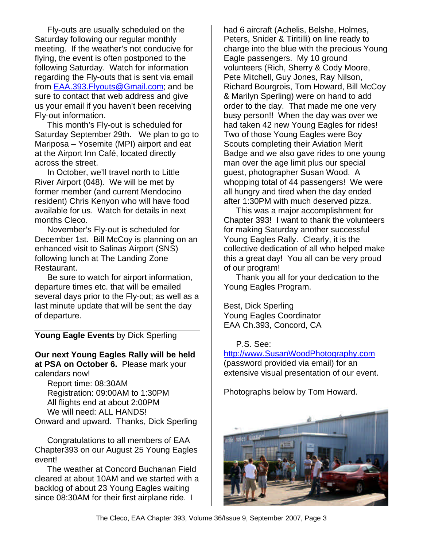Fly-outs are usually scheduled on the Saturday following our regular monthly meeting. If the weather's not conducive for flying, the event is often postponed to the following Saturday. Watch for information regarding the Fly-outs that is sent via email from EAA.393.Flyouts@Gmail.com; and be sure to contact that web address and give us your email if you haven't been receiving Fly-out information.

This month's Fly-out is scheduled for Saturday September 29th. We plan to go to Mariposa – Yosemite (MPI) airport and eat at the Airport Inn Café, located directly across the street.

In October, we'll travel north to Little River Airport (048). We will be met by former member (and current Mendocino resident) Chris Kenyon who will have food available for us. Watch for details in next months Cleco.

November's Fly-out is scheduled for December 1st. Bill McCoy is planning on an enhanced visit to Salinas Airport (SNS) following lunch at The Landing Zone Restaurant.

Be sure to watch for airport information, departure times etc. that will be emailed several days prior to the Fly-out; as well as a last minute update that will be sent the day of departure.

#### **Young Eagle Events** by Dick Sperling

**Our next Young Eagles Rally will be held at PSA on October 6.** Please mark your calendars now!

Report time: 08:30AM Registration: 09:00AM to 1:30PM All flights end at about 2:00PM We will need: ALL HANDS! Onward and upward. Thanks, Dick Sperling

Congratulations to all members of EAA Chapter393 on our August 25 Young Eagles event!

The weather at Concord Buchanan Field cleared at about 10AM and we started with a backlog of about 23 Young Eagles waiting since 08:30AM for their first airplane ride. I

had 6 aircraft (Achelis, Belshe, Holmes, Peters, Snider & Tiritilli) on line ready to charge into the blue with the precious Young Eagle passengers. My 10 ground volunteers (Rich, Sherry & Cody Moore, Pete Mitchell, Guy Jones, Ray Nilson, Richard Bourgrois, Tom Howard, Bill McCoy & Marilyn Sperling) were on hand to add order to the day. That made me one very busy person!! When the day was over we had taken 42 new Young Eagles for rides! Two of those Young Eagles were Boy Scouts completing their Aviation Merit Badge and we also gave rides to one young man over the age limit plus our special guest, photographer Susan Wood. A whopping total of 44 passengers! We were all hungry and tired when the day ended after 1:30PM with much deserved pizza.

This was a major accomplishment for Chapter 393! I want to thank the volunteers for making Saturday another successful Young Eagles Rally. Clearly, it is the collective dedication of all who helped make this a great day! You all can be very proud of our program!

Thank you all for your dedication to the Young Eagles Program.

Best, Dick Sperling Young Eagles Coordinator EAA Ch.393, Concord, CA

#### P.S. See:

http://www.SusanWoodPhotography.com (password provided via email) for an extensive visual presentation of our event.

Photographs below by Tom Howard.

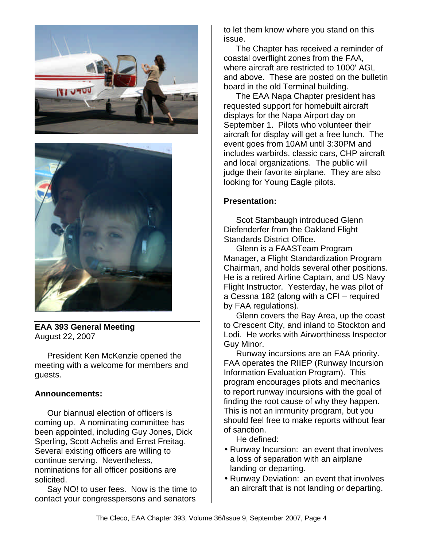



**EAA 393 General Meeting** August 22, 2007

President Ken McKenzie opened the meeting with a welcome for members and guests.

#### **Announcements:**

Our biannual election of officers is coming up. A nominating committee has been appointed, including Guy Jones, Dick Sperling, Scott Achelis and Ernst Freitag. Several existing officers are willing to continue serving. Nevertheless, nominations for all officer positions are solicited.

Say NO! to user fees. Now is the time to contact your congresspersons and senators

to let them know where you stand on this issue.

The Chapter has received a reminder of coastal overflight zones from the FAA, where aircraft are restricted to 1000' AGL and above. These are posted on the bulletin board in the old Terminal building.

The EAA Napa Chapter president has requested support for homebuilt aircraft displays for the Napa Airport day on September 1. Pilots who volunteer their aircraft for display will get a free lunch. The event goes from 10AM until 3:30PM and includes warbirds, classic cars, CHP aircraft and local organizations. The public will judge their favorite airplane. They are also looking for Young Eagle pilots.

#### **Presentation:**

Scot Stambaugh introduced Glenn Diefenderfer from the Oakland Flight Standards District Office.

Glenn is a FAASTeam Program Manager, a Flight Standardization Program Chairman, and holds several other positions. He is a retired Airline Captain, and US Navy Flight Instructor. Yesterday, he was pilot of a Cessna 182 (along with a CFI – required by FAA regulations).

Glenn covers the Bay Area, up the coast to Crescent City, and inland to Stockton and Lodi. He works with Airworthiness Inspector Guy Minor.

Runway incursions are an FAA priority. FAA operates the RIIEP (Runway Incursion Information Evaluation Program). This program encourages pilots and mechanics to report runway incursions with the goal of finding the root cause of why they happen. This is not an immunity program, but you should feel free to make reports without fear of sanction.

He defined:

- Runway Incursion: an event that involves a loss of separation with an airplane landing or departing.
- Runway Deviation: an event that involves an aircraft that is not landing or departing.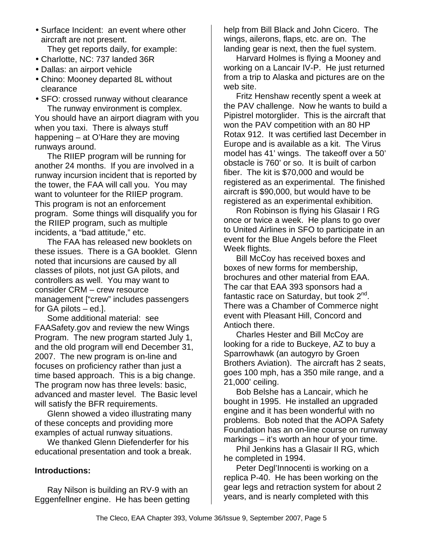• Surface Incident: an event where other aircraft are not present.

They get reports daily, for example:

- Charlotte, NC: 737 landed 36R
- Dallas: an airport vehicle
- Chino: Mooney departed 8L without clearance
- SFO: crossed runway without clearance The runway environment is complex.

You should have an airport diagram with you when you taxi. There is always stuff happening – at O'Hare they are moving runways around.

The RIIEP program will be running for another 24 months. If you are involved in a runway incursion incident that is reported by the tower, the FAA will call you. You may want to volunteer for the RIIEP program. This program is not an enforcement program. Some things will disqualify you for the RIIEP program, such as multiple incidents, a "bad attitude," etc.

The FAA has released new booklets on these issues. There is a GA booklet. Glenn noted that incursions are caused by all classes of pilots, not just GA pilots, and controllers as well. You may want to consider CRM – crew resource management ["crew" includes passengers for GA pilots – ed.].

Some additional material: see FAASafety.gov and review the new Wings Program. The new program started July 1, and the old program will end December 31, 2007. The new program is on-line and focuses on proficiency rather than just a time based approach. This is a big change. The program now has three levels: basic, advanced and master level. The Basic level will satisfy the BFR requirements.

Glenn showed a video illustrating many of these concepts and providing more examples of actual runway situations.

We thanked Glenn Diefenderfer for his educational presentation and took a break.

#### **Introductions:**

Ray Nilson is building an RV-9 with an Eggenfellner engine. He has been getting help from Bill Black and John Cicero. The wings, ailerons, flaps, etc. are on. The landing gear is next, then the fuel system.

Harvard Holmes is flying a Mooney and working on a Lancair IV-P. He just returned from a trip to Alaska and pictures are on the web site.

Fritz Henshaw recently spent a week at the PAV challenge. Now he wants to build a Pipistrel motorglider. This is the aircraft that won the PAV competition with an 80 HP Rotax 912. It was certified last December in Europe and is available as a kit. The Virus model has 41' wings. The takeoff over a 50' obstacle is 760' or so. It is built of carbon fiber. The kit is \$70,000 and would be registered as an experimental. The finished aircraft is \$90,000, but would have to be registered as an experimental exhibition.

Ron Robinson is flying his Glasair I RG once or twice a week. He plans to go over to United Airlines in SFO to participate in an event for the Blue Angels before the Fleet Week flights.

Bill McCoy has received boxes and boxes of new forms for membership, brochures and other material from EAA. The car that EAA 393 sponsors had a fantastic race on Saturday, but took 2<sup>nd</sup>. There was a Chamber of Commerce night event with Pleasant Hill, Concord and Antioch there.

Charles Hester and Bill McCoy are looking for a ride to Buckeye, AZ to buy a Sparrowhawk (an autogyro by Groen Brothers Aviation). The aircraft has 2 seats, goes 100 mph, has a 350 mile range, and a 21,000' ceiling.

Bob Belshe has a Lancair, which he bought in 1995. He installed an upgraded engine and it has been wonderful with no problems. Bob noted that the AOPA Safety Foundation has an on-line course on runway markings – it's worth an hour of your time.

Phil Jenkins has a Glasair II RG, which he completed in 1994.

Peter Degl'Innocenti is working on a replica P-40. He has been working on the gear legs and retraction system for about 2 years, and is nearly completed with this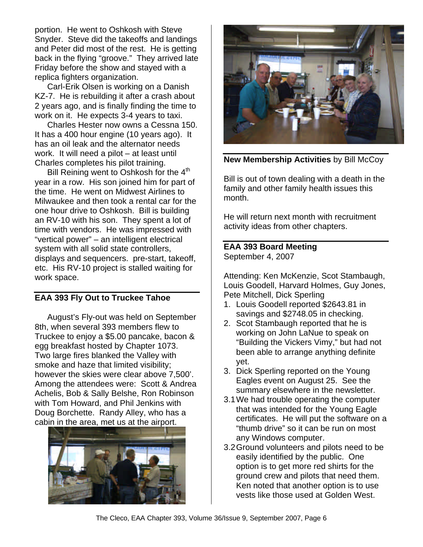portion. He went to Oshkosh with Steve Snyder. Steve did the takeoffs and landings and Peter did most of the rest. He is getting back in the flying "groove." They arrived late Friday before the show and stayed with a replica fighters organization.

Carl-Erik Olsen is working on a Danish KZ-7. He is rebuilding it after a crash about 2 years ago, and is finally finding the time to work on it. He expects 3-4 years to taxi.

Charles Hester now owns a Cessna 150. It has a 400 hour engine (10 years ago). It has an oil leak and the alternator needs work. It will need a pilot – at least until Charles completes his pilot training.

Bill Reining went to Oshkosh for the 4<sup>th</sup> year in a row. His son joined him for part of the time. He went on Midwest Airlines to Milwaukee and then took a rental car for the one hour drive to Oshkosh. Bill is building an RV-10 with his son. They spent a lot of time with vendors. He was impressed with "vertical power" – an intelligent electrical system with all solid state controllers, displays and sequencers. pre-start, takeoff, etc. His RV-10 project is stalled waiting for work space.

### **EAA 393 Fly Out to Truckee Tahoe**

August's Fly-out was held on September 8th, when several 393 members flew to Truckee to enjoy a \$5.00 pancake, bacon & egg breakfast hosted by Chapter 1073. Two large fires blanked the Valley with smoke and haze that limited visibility; however the skies were clear above 7,500'. Among the attendees were: Scott & Andrea Achelis, Bob & Sally Belshe, Ron Robinson with Tom Howard, and Phil Jenkins with Doug Borchette. Randy Alley, who has a cabin in the area, met us at the airport.





**New Membership Activities** by Bill McCoy

Bill is out of town dealing with a death in the family and other family health issues this month.

He will return next month with recruitment activity ideas from other chapters.

#### **EAA 393 Board Meeting** September 4, 2007

Attending: Ken McKenzie, Scot Stambaugh, Louis Goodell, Harvard Holmes, Guy Jones, Pete Mitchell, Dick Sperling

- 1. Louis Goodell reported \$2643.81 in savings and \$2748.05 in checking.
- 2. Scot Stambaugh reported that he is working on John LaNue to speak on "Building the Vickers Vimy," but had not been able to arrange anything definite yet.
- 3. Dick Sperling reported on the Young Eagles event on August 25. See the summary elsewhere in the newsletter.
- 3.1We had trouble operating the computer that was intended for the Young Eagle certificates. He will put the software on a "thumb drive" so it can be run on most any Windows computer.
- 3.2Ground volunteers and pilots need to be easily identified by the public. One option is to get more red shirts for the ground crew and pilots that need them. Ken noted that another option is to use vests like those used at Golden West.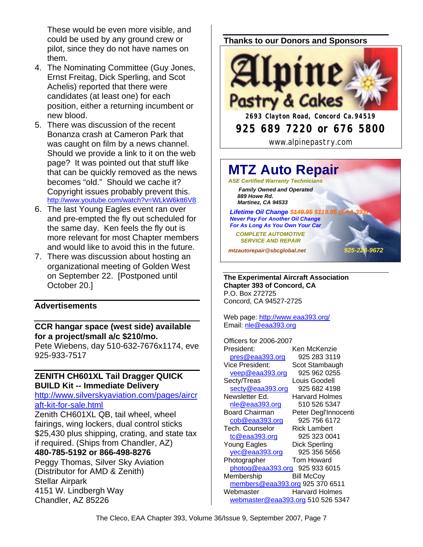These would be even more visible, and could be used by any ground crew or pilot, since they do not have names on them.

- 4. The Nominating Committee (Guy Jones, Ernst Freitag, Dick Sperling, and Scot Achelis) reported that there were candidates (at least one) for each position, either a returning incumbent or new blood.
- 5. There was discussion of the recent Bonanza crash at Cameron Park that was caught on film by a news channel. Should we provide a link to it on the web page? It was pointed out that stuff like that can be quickly removed as the news becomes "old." Should we cache it? Copyright issues probably prevent this. http://www.youtube.com/watch?v=WLkW6ktt6V8
- 6. The last Young Eagles event ran over and pre-empted the fly out scheduled for the same day. Ken feels the fly out is more relevant for most Chapter members and would like to avoid this in the future.
- 7. There was discussion about hosting an organizational meeting of Golden West on September 22. [Postponed until October 20.]

#### **Advertisements**

**CCR hangar space (west side) available for a project/small a/c \$210/mo.**  Pete Wiebens, day 510-632-7676x1174, eve

925-933-7517

#### **ZENITH CH601XL Tail Dragger QUICK BUILD Kit -- Immediate Delivery**

http://www.silverskyaviation.com/pages/aircr aft-kit-for-sale.html

Zenith CH601XL QB, tail wheel, wheel fairings, wing lockers, dual control sticks \$25,430 plus shipping, crating, and state tax if required. (Ships from Chandler, AZ) **480-785-5192 or 866-498-8276**

Peggy Thomas, Silver Sky Aviation (Distributor for AMD & Zenith) Stellar Airpark 4151 W. Lindbergh Way Chandler, AZ 85226

#### **Thanks to our Donors and Sponsors**



www.alpinepastry.com

# **MTZ Auto Repair**

*ASE Certified Warranty Technicians Family Owned and Operated 889 Howe Rd. Martinez, CA 94533*

**Lifetime Oil Change \$449.95 \$119.95 (E**  *Never Pay For Another Oil Change For As Long As You Own Your Car*

 *COMPLETE AUTOMOTIVE SERVICE AND REPAIR*

*mtzautorepair@sbcglobal.net 925-228-9672*

**The Experimental Aircraft Association Chapter 393 of Concord, CA** P.O. Box 272725 Concord, CA 94527-2725

Web page: http://www.eaa393.org/ Email: nle@eaa393.org

Officers for 2006-2007 President: Ken McKenzie pres@eaa393.org 925 283 3119 Vice President: Scot Stambaugh veep@eaa393.org 925 962 0255 Secty/Treas Louis Goodell secty@eaa393.org 925 682 4198 Newsletter Ed. Harvard Holmes nle@eaa393.org 510 526 5347 Board Chairman Peter Degl'Innocenti cob@eaa393.org 925 756 6172 Tech. Counselor Rick Lambert tc@eaa393.org 925 323 0041 Young Eagles Dick Sperling yec@eaa393.org 925 356 5656 Photographer Tom Howard photog@eaa393.org 925 933 6015 Membership Bill McCov members@eaa393.org 925 370 6511 Webmaster Harvard Holmes webmaster@eaa393.org 510 526 5347